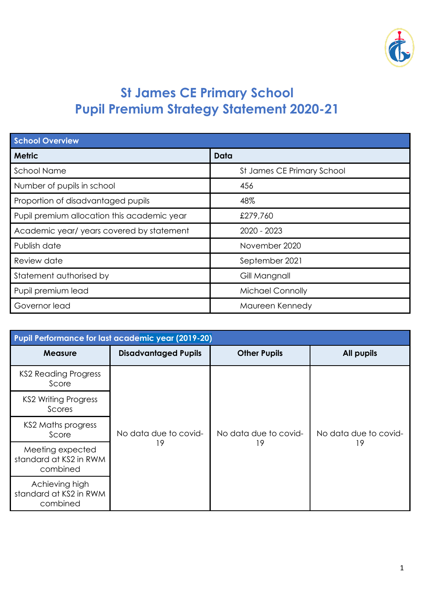

## **St James CE Primary School Pupil Premium Strategy Statement 2020-21**

| <b>School Overview</b>                      |                            |  |  |
|---------------------------------------------|----------------------------|--|--|
| <b>Metric</b>                               | Data                       |  |  |
| <b>School Name</b>                          | St James CE Primary School |  |  |
| Number of pupils in school                  | 456                        |  |  |
| Proportion of disadvantaged pupils          | 48%                        |  |  |
| Pupil premium allocation this academic year | £279,760                   |  |  |
| Academic year/ years covered by statement   | 2020 - 2023                |  |  |
| Publish date                                | November 2020              |  |  |
| Review date                                 | September 2021             |  |  |
| Statement authorised by                     | Gill Mangnall              |  |  |
| Pupil premium lead                          | <b>Michael Connolly</b>    |  |  |
| Governor lead                               | Maureen Kennedy            |  |  |

| <b>Pupil Performance for last academic year (2019-20)</b> |                             |                             |                             |  |
|-----------------------------------------------------------|-----------------------------|-----------------------------|-----------------------------|--|
| <b>Measure</b>                                            | <b>Disadvantaged Pupils</b> | <b>Other Pupils</b>         | <b>All pupils</b>           |  |
| KS2 Reading Progress<br>Score                             |                             |                             |                             |  |
| <b>KS2 Writing Progress</b><br>Scores                     |                             | No data due to covid-<br>19 | No data due to covid-<br>19 |  |
| KS2 Maths progress<br>Score                               | No data due to covid-       |                             |                             |  |
| Meeting expected<br>standard at KS2 in RWM<br>combined    | 19                          |                             |                             |  |
| Achieving high<br>standard at KS2 in RWM<br>combined      |                             |                             |                             |  |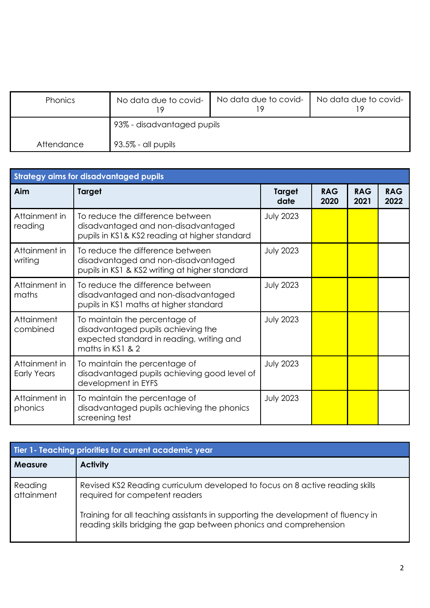| <b>Phonics</b> | No data due to covid-      | No data due to covid- | No data due to covid- |
|----------------|----------------------------|-----------------------|-----------------------|
|                | 93% - disadvantaged pupils |                       |                       |
| Attendance     | 93.5% - all pupils         |                       |                       |

| <b>Strategy aims for disadvantaged pupils</b> |                                                                                                                                      |                       |                    |                    |                    |
|-----------------------------------------------|--------------------------------------------------------------------------------------------------------------------------------------|-----------------------|--------------------|--------------------|--------------------|
| <b>Aim</b>                                    | <b>Target</b>                                                                                                                        | <b>Target</b><br>date | <b>RAG</b><br>2020 | <b>RAG</b><br>2021 | <b>RAG</b><br>2022 |
| Attainment in<br>reading                      | To reduce the difference between<br>disadvantaged and non-disadvantaged<br>pupils in KS1& KS2 reading at higher standard             | <b>July 2023</b>      |                    |                    |                    |
| Attainment in<br>writing                      | To reduce the difference between<br>disadvantaged and non-disadvantaged<br>pupils in KS1 & KS2 writing at higher standard            | <b>July 2023</b>      |                    |                    |                    |
| Attainment in<br>maths                        | To reduce the difference between<br>disadvantaged and non-disadvantaged<br>pupils in KS1 maths at higher standard                    | <b>July 2023</b>      |                    |                    |                    |
| Attainment<br>combined                        | To maintain the percentage of<br>disadvantaged pupils achieving the<br>expected standard in reading, writing and<br>maths in KS1 & 2 | <b>July 2023</b>      |                    |                    |                    |
| Attainment in<br><b>Early Years</b>           | To maintain the percentage of<br>disadvantaged pupils achieving good level of<br>development in EYFS                                 | <b>July 2023</b>      |                    |                    |                    |
| Attainment in<br>phonics                      | To maintain the percentage of<br>disadvantaged pupils achieving the phonics<br>screening test                                        | <b>July 2023</b>      |                    |                    |                    |

| Tier 1 - Teaching priorities for current academic year |                                                                                                                                                       |  |  |
|--------------------------------------------------------|-------------------------------------------------------------------------------------------------------------------------------------------------------|--|--|
| <b>Measure</b>                                         | <b>Activity</b>                                                                                                                                       |  |  |
| Reading<br>attainment                                  | Revised KS2 Reading curriculum developed to focus on 8 active reading skills<br>required for competent readers                                        |  |  |
|                                                        | Training for all teaching assistants in supporting the development of fluency in<br>reading skills bridging the gap between phonics and comprehension |  |  |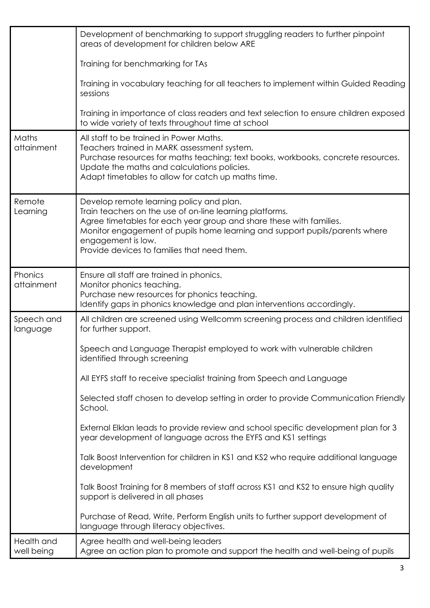|                          | Development of benchmarking to support struggling readers to further pinpoint<br>areas of development for children below ARE<br>Training for benchmarking for TAs<br>Training in vocabulary teaching for all teachers to implement within Guided Reading<br>sessions<br>Training in importance of class readers and text selection to ensure children exposed<br>to wide variety of texts throughout time at school                                                                                                                                                                                                                                                                                                                                                                                                                                                                                                       |
|--------------------------|---------------------------------------------------------------------------------------------------------------------------------------------------------------------------------------------------------------------------------------------------------------------------------------------------------------------------------------------------------------------------------------------------------------------------------------------------------------------------------------------------------------------------------------------------------------------------------------------------------------------------------------------------------------------------------------------------------------------------------------------------------------------------------------------------------------------------------------------------------------------------------------------------------------------------|
| Maths<br>attainment      | All staff to be trained in Power Maths.<br>Teachers trained in MARK assessment system.<br>Purchase resources for maths teaching; text books, workbooks, concrete resources.<br>Update the maths and calculations policies.<br>Adapt timetables to allow for catch up maths time.                                                                                                                                                                                                                                                                                                                                                                                                                                                                                                                                                                                                                                          |
| Remote<br>Learning       | Develop remote learning policy and plan.<br>Train teachers on the use of on-line learning platforms.<br>Agree timetables for each year group and share these with families.<br>Monitor engagement of pupils home learning and support pupils/parents where<br>engagement is low.<br>Provide devices to families that need them.                                                                                                                                                                                                                                                                                                                                                                                                                                                                                                                                                                                           |
| Phonics<br>attainment    | Ensure all staff are trained in phonics.<br>Monitor phonics teaching.<br>Purchase new resources for phonics teaching.<br>Identify gaps in phonics knowledge and plan interventions accordingly.                                                                                                                                                                                                                                                                                                                                                                                                                                                                                                                                                                                                                                                                                                                           |
| Speech and<br>language   | All children are screened using Wellcomm screening process and children identified<br>for further support.<br>Speech and Language Therapist employed to work with vulnerable children<br>identified through screening<br>All EYFS staff to receive specialist training from Speech and Language<br>Selected staff chosen to develop setting in order to provide Communication Friendly<br>School.<br>External Elklan leads to provide review and school specific development plan for 3<br>year development of language across the EYFS and KS1 settings<br>Talk Boost Intervention for children in KS1 and KS2 who require additional language<br>development<br>Talk Boost Training for 8 members of staff across KS1 and KS2 to ensure high quality<br>support is delivered in all phases<br>Purchase of Read, Write, Perform English units to further support development of<br>language through literacy objectives. |
| Health and<br>well being | Agree health and well-being leaders<br>Agree an action plan to promote and support the health and well-being of pupils                                                                                                                                                                                                                                                                                                                                                                                                                                                                                                                                                                                                                                                                                                                                                                                                    |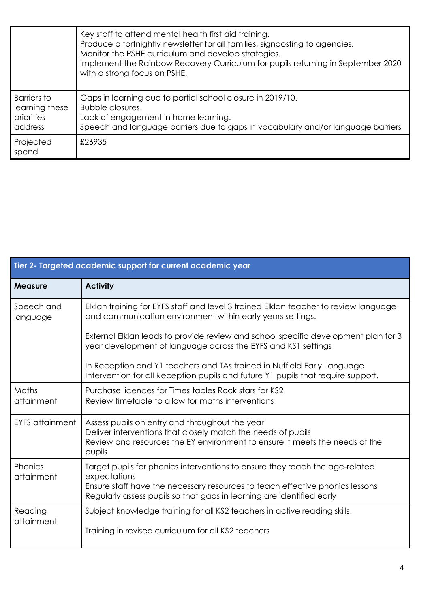|                                                               | Key staff to attend mental health first aid training.<br>Produce a fortnightly newsletter for all families, signposting to agencies.<br>Monitor the PSHE curriculum and develop strategies.<br>Implement the Rainbow Recovery Curriculum for pupils returning in September 2020<br>with a strong focus on PSHE. |
|---------------------------------------------------------------|-----------------------------------------------------------------------------------------------------------------------------------------------------------------------------------------------------------------------------------------------------------------------------------------------------------------|
| <b>Barriers</b> to<br>learning these<br>priorities<br>address | Gaps in learning due to partial school closure in 2019/10.<br>Bubble closures.<br>Lack of engagement in home learning.<br>Speech and language barriers due to gaps in vocabulary and/or language barriers                                                                                                       |
| Projected<br>spend                                            | £26935                                                                                                                                                                                                                                                                                                          |

| Tier 2- Targeted academic support for current academic year |                                                                                                                                                                                                                                                       |  |  |
|-------------------------------------------------------------|-------------------------------------------------------------------------------------------------------------------------------------------------------------------------------------------------------------------------------------------------------|--|--|
| <b>Measure</b>                                              | <b>Activity</b>                                                                                                                                                                                                                                       |  |  |
| Speech and<br>language                                      | Elklan training for EYFS staff and level 3 trained Elklan teacher to review language<br>and communication environment within early years settings.                                                                                                    |  |  |
|                                                             | External Elklan leads to provide review and school specific development plan for 3<br>year development of language across the EYFS and KS1 settings                                                                                                   |  |  |
|                                                             | In Reception and Y1 teachers and TAs trained in Nuffield Early Language<br>Intervention for all Reception pupils and future Y1 pupils that require support.                                                                                           |  |  |
| Maths<br>attainment                                         | Purchase licences for Times tables Rock stars for KS2<br>Review timetable to allow for maths interventions                                                                                                                                            |  |  |
| <b>EYFS</b> attainment                                      | Assess pupils on entry and throughout the year<br>Deliver interventions that closely match the needs of pupils<br>Review and resources the EY environment to ensure it meets the needs of the<br>pupils                                               |  |  |
| Phonics<br>attainment                                       | Target pupils for phonics interventions to ensure they reach the age-related<br>expectations<br>Ensure staff have the necessary resources to teach effective phonics lessons<br>Regularly assess pupils so that gaps in learning are identified early |  |  |
| Reading<br>attainment                                       | Subject knowledge training for all KS2 teachers in active reading skills.<br>Training in revised curriculum for all KS2 teachers                                                                                                                      |  |  |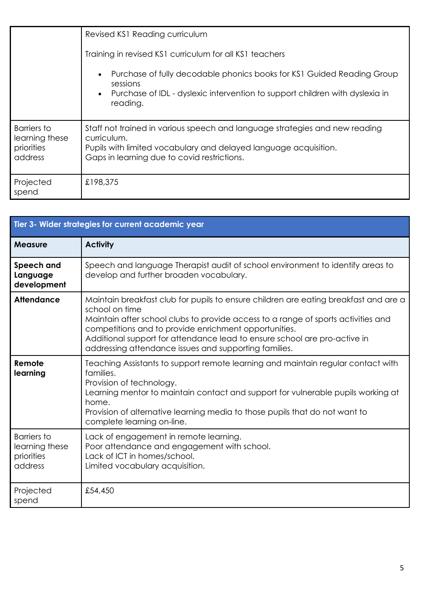|                                                               | Revised KS1 Reading curriculum<br>Training in revised KS1 curriculum for all KS1 teachers                                                                                                                     |  |  |
|---------------------------------------------------------------|---------------------------------------------------------------------------------------------------------------------------------------------------------------------------------------------------------------|--|--|
|                                                               |                                                                                                                                                                                                               |  |  |
|                                                               | Purchase of fully decodable phonics books for KS1 Guided Reading Group<br>$\bullet$<br>sessions<br>Purchase of IDL - dyslexic intervention to support children with dyslexia in<br>$\bullet$<br>reading.      |  |  |
| <b>Barriers</b> to<br>learning these<br>priorities<br>address | Staff not trained in various speech and language strategies and new reading<br>curriculum.<br>Pupils with limited vocabulary and delayed language acquisition.<br>Gaps in learning due to covid restrictions. |  |  |
| Projected<br>spend                                            | £198,375                                                                                                                                                                                                      |  |  |

| Tier 3- Wider strategies for current academic year            |                                                                                                                                                                                                                                                                                                                                                                                            |  |  |
|---------------------------------------------------------------|--------------------------------------------------------------------------------------------------------------------------------------------------------------------------------------------------------------------------------------------------------------------------------------------------------------------------------------------------------------------------------------------|--|--|
| <b>Measure</b>                                                | <b>Activity</b>                                                                                                                                                                                                                                                                                                                                                                            |  |  |
| Speech and<br>Language<br>development                         | Speech and language Therapist audit of school environment to identify areas to<br>develop and further broaden vocabulary.                                                                                                                                                                                                                                                                  |  |  |
| <b>Attendance</b>                                             | Maintain breakfast club for pupils to ensure children are eating breakfast and are a<br>school on time<br>Maintain after school clubs to provide access to a range of sports activities and<br>competitions and to provide enrichment opportunities.<br>Additional support for attendance lead to ensure school are pro-active in<br>addressing attendance issues and supporting families. |  |  |
| Remote<br>learning                                            | Teaching Assistants to support remote learning and maintain regular contact with<br>families.<br>Provision of technology.<br>Learning mentor to maintain contact and support for vulnerable pupils working at<br>home.<br>Provision of alternative learning media to those pupils that do not want to<br>complete learning on-line.                                                        |  |  |
| <b>Barriers</b> to<br>learning these<br>priorities<br>address | Lack of engagement in remote learning.<br>Poor attendance and engagement with school.<br>Lack of ICT in homes/school.<br>Limited vocabulary acquisition.                                                                                                                                                                                                                                   |  |  |
| Projected<br>spend                                            | £54,450                                                                                                                                                                                                                                                                                                                                                                                    |  |  |